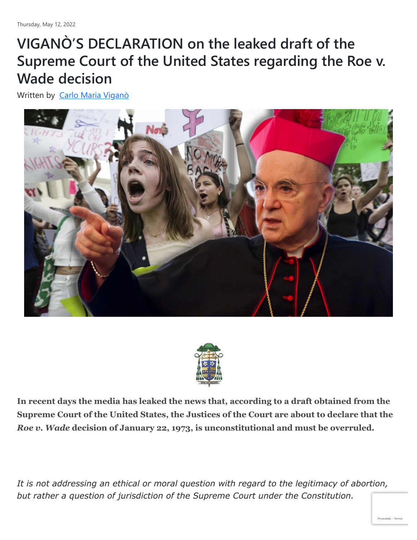## **VIGANÒ'S DECLARATION on the leaked draft of the Supreme Court of the United States regarding the Roe v. Wade decision**

Written by [Carlo Maria Viganò](https://remnantnewspaper.com/web/index.php/articles/itemlist/user/4931-carlomariavigano)





**In recent days the media has leaked the news that, according to a draft obtained from the Supreme Court of the United States, the Justices of the Court are about to declare that the** *Roe v. Wade* **decision of January 22, 1973, is unconstitutional and must be overruled.**

*It is not addressing an ethical or moral question with regard to the legitimacy of abortion, but rather a question of jurisdiction of the Supreme Court under the Constitution.*

[Privacidade](https://www.google.com/intl/pt-BR/policies/privacy/) - [Termos](https://www.google.com/intl/pt-BR/policies/terms/)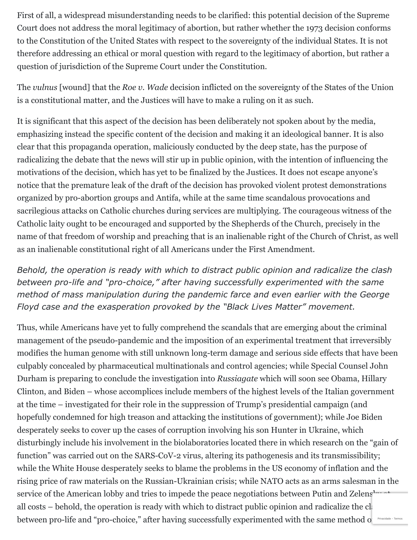First of all, a widespread misunderstanding needs to be clarified: this potential decision of the Supreme Court does not address the moral legitimacy of abortion, but rather whether the 1973 decision conforms to the Constitution of the United States with respect to the sovereignty of the individual States. It is not therefore addressing an ethical or moral question with regard to the legitimacy of abortion, but rather a question of jurisdiction of the Supreme Court under the Constitution.

The *vulnus* [wound] that the *Roe v. Wade* decision inflicted on the sovereignty of the States of the Union is a constitutional matter, and the Justices will have to make a ruling on it as such.

It is significant that this aspect of the decision has been deliberately not spoken about by the media, emphasizing instead the specific content of the decision and making it an ideological banner. It is also clear that this propaganda operation, maliciously conducted by the deep state, has the purpose of radicalizing the debate that the news will stir up in public opinion, with the intention of influencing the motivations of the decision, which has yet to be finalized by the Justices. It does not escape anyone's notice that the premature leak of the draft of the decision has provoked violent protest demonstrations organized by pro-abortion groups and Antifa, while at the same time scandalous provocations and sacrilegious attacks on Catholic churches during services are multiplying. The courageous witness of the Catholic laity ought to be encouraged and supported by the Shepherds of the Church, precisely in the name of that freedom of worship and preaching that is an inalienable right of the Church of Christ, as well as an inalienable constitutional right of all Americans under the First Amendment.

*Behold, the operation is ready with which to distract public opinion and radicalize the clash between pro-life and "pro-choice," after having successfully experimented with the same method of mass manipulation during the pandemic farce and even earlier with the George Floyd case and the exasperation provoked by the "Black Lives Matter" movement.*

Thus, while Americans have yet to fully comprehend the scandals that are emerging about the criminal management of the pseudo-pandemic and the imposition of an experimental treatment that irreversibly modifies the human genome with still unknown long-term damage and serious side effects that have been culpably concealed by pharmaceutical multinationals and control agencies; while Special Counsel John Durham is preparing to conclude the investigation into *Russiagate* which will soon see Obama, Hillary Clinton, and Biden – whose accomplices include members of the highest levels of the Italian government at the time – investigated for their role in the suppression of Trump's presidential campaign (and hopefully condemned for high treason and attacking the institutions of government); while Joe Biden desperately seeks to cover up the cases of corruption involving his son Hunter in Ukraine, which disturbingly include his involvement in the biolaboratories located there in which research on the "gain of function" was carried out on the SARS-CoV-2 virus, altering its pathogenesis and its transmissibility; while the White House desperately seeks to blame the problems in the US economy of inflation and the rising price of raw materials on the Russian-Ukrainian crisis; while NATO acts as an arms salesman in the service of the American lobby and tries to impede the peace negotiations between Putin and Zelens<sup>1</sup> all costs – behold, the operation is ready with which to distract public opinion and radicalize the clash between pro-life and "pro-choice," after having successfully experimented with the same method of Privacidade - [Termos](https://www.google.com/intl/pt-BR/policies/terms/)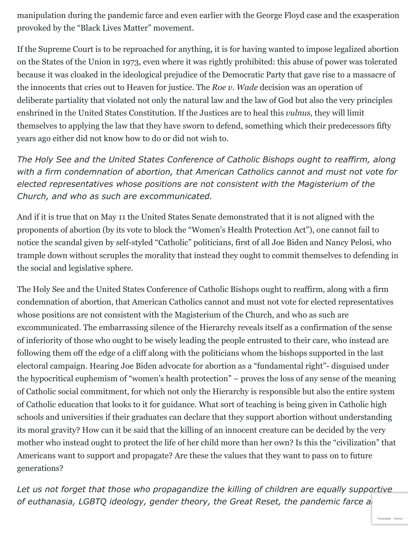manipulation during the pandemic farce and even earlier with the George Floyd case and the exasperation provoked by the "Black Lives Matter" movement.

If the Supreme Court is to be reproached for anything, it is for having wanted to impose legalized abortion on the States of the Union in 1973, even where it was rightly prohibited: this abuse of power was tolerated because it was cloaked in the ideological prejudice of the Democratic Party that gave rise to a massacre of the innocents that cries out to Heaven for justice. The *Roe v. Wade* decision was an operation of deliberate partiality that violated not only the natural law and the law of God but also the very principles enshrined in the United States Constitution. If the Justices are to heal this *vulnus*, they will limit themselves to applying the law that they have sworn to defend, something which their predecessors fifty years ago either did not know how to do or did not wish to.

*The Holy See and the United States Conference of Catholic Bishops ought to reaffirm, along with a firm condemnation of abortion, that American Catholics cannot and must not vote for elected representatives whose positions are not consistent with the Magisterium of the Church, and who as such are excommunicated.*

And if it is true that on May 11 the United States Senate demonstrated that it is not aligned with the proponents of abortion (by its vote to block the "Women's Health Protection Act"), one cannot fail to notice the scandal given by self-styled "Catholic" politicians, first of all Joe Biden and Nancy Pelosi, who trample down without scruples the morality that instead they ought to commit themselves to defending in the social and legislative sphere.

The Holy See and the United States Conference of Catholic Bishops ought to reaffirm, along with a firm condemnation of abortion, that American Catholics cannot and must not vote for elected representatives whose positions are not consistent with the Magisterium of the Church, and who as such are excommunicated. The embarrassing silence of the Hierarchy reveals itself as a confirmation of the sense of inferiority of those who ought to be wisely leading the people entrusted to their care, who instead are following them off the edge of a cliff along with the politicians whom the bishops supported in the last electoral campaign. Hearing Joe Biden advocate for abortion as a "fundamental right"- disguised under the hypocritical euphemism of "women's health protection" – proves the loss of any sense of the meaning of Catholic social commitment, for which not only the Hierarchy is responsible but also the entire system of Catholic education that looks to it for guidance. What sort of teaching is being given in Catholic high schools and universities if their graduates can declare that they support abortion without understanding its moral gravity? How can it be said that the killing of an innocent creature can be decided by the very mother who instead ought to protect the life of her child more than her own? Is this the "civilization" that Americans want to support and propagate? Are these the values that they want to pass on to future generations?

*Let us not forget that those who propagandize the killing of children are equally supportive* of euthanasia, LGBTQ ideology, gender theory, the Great Reset, the pandemic farce al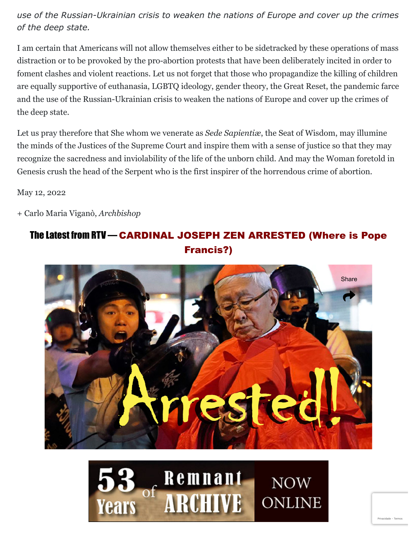*use of the Russian-Ukrainian crisis to weaken the nations of Europe and cover up the crimes of the deep state.*

I am certain that Americans will not allow themselves either to be sidetracked by these operations of mass distraction or to be provoked by the pro-abortion protests that have been deliberately incited in order to foment clashes and violent reactions. Let us not forget that those who propagandize the killing of children are equally supportive of euthanasia, LGBTQ ideology, gender theory, the Great Reset, the pandemic farce and the use of the Russian-Ukrainian crisis to weaken the nations of Europe and cover up the crimes of the deep state.

Let us pray therefore that She whom we venerate as *Sede Sapientiæ*, the Seat of Wisdom, may illumine the minds of the Justices of the Supreme Court and inspire them with a sense of justice so that they may recognize the sacredness and inviolability of the life of the unborn child. And may the Woman foretold in Genesis crush the head of the Serpent who is the first inspirer of the horrendous crime of abortion.

May 12, 2022

+ Carlo Maria Viganò, *Archbishop*

## The Latest from RTV — CARDINAL JOSEPH ZEN ARRESTED (Where is Pope Francis?)





[Privacidade](https://www.google.com/intl/pt-BR/policies/privacy/) - [Termos](https://www.google.com/intl/pt-BR/policies/terms/)